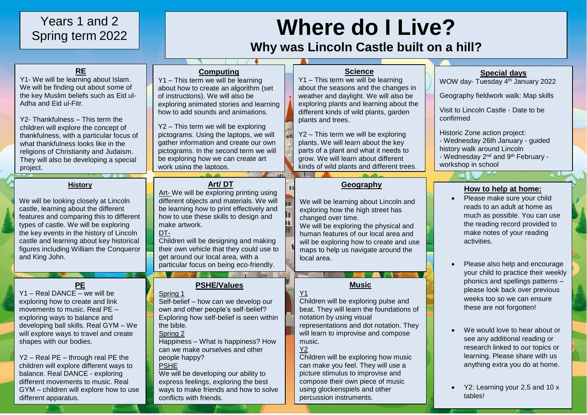# Years 1 and 2 Spring term 2022

# **Where do I Live?**

# **Why was Lincoln Castle built on a hill?**

| <b>RE</b><br>Y1- We will be learning about Islam.<br>We will be finding out about some of<br>the key Muslim beliefs such as Eid ul-<br>Adha and Eid ul-Fitr.<br>Y2- Thankfulness - This term the<br>children will explore the concept of<br>thankfulness, with a particular focus of<br>what thankfulness looks like in the<br>religions of Christianity and Judaism.<br>They will also be developing a special<br>project.                                                        | <b>Computing</b><br>Y1 - This term we will be learning<br>about how to create an algorithm (set<br>of instructions). We will also be<br>exploring animated stories and learning<br>how to add sounds and animations.<br>Y2 - This term we will be exploring<br>pictograms. Using the laptops, we will<br>gather information and create our own<br>pictograms. In the second term we will<br>be exploring how we can create art<br>work using the laptops. | <b>Science</b><br>Y1 - This term we will be learning<br>about the seasons and the changes in<br>weather and daylight. We will also be<br>exploring plants and learning about the<br>different kinds of wild plants, garden<br>plants and trees.<br>Y2 - This term we will be exploring<br>plants. We will learn about the key<br>parts of a plant and what it needs to<br>grow. We will learn about different<br>kinds of wild plants and different trees. | <b>Special days</b><br>WOW day- Tuesday 4 <sup>th</sup> January 2022<br>Geography fieldwork walk: Map skills<br>Visit to Lincoln Castle - Date to be<br>confirmed<br>Historic Zone action project:<br>- Wednesday 26th January - guided<br>history walk around Lincoln<br>- Wednesday 2 <sup>nd</sup> and 9 <sup>th</sup> February -<br>workshop in school                                  |
|------------------------------------------------------------------------------------------------------------------------------------------------------------------------------------------------------------------------------------------------------------------------------------------------------------------------------------------------------------------------------------------------------------------------------------------------------------------------------------|-----------------------------------------------------------------------------------------------------------------------------------------------------------------------------------------------------------------------------------------------------------------------------------------------------------------------------------------------------------------------------------------------------------------------------------------------------------|------------------------------------------------------------------------------------------------------------------------------------------------------------------------------------------------------------------------------------------------------------------------------------------------------------------------------------------------------------------------------------------------------------------------------------------------------------|---------------------------------------------------------------------------------------------------------------------------------------------------------------------------------------------------------------------------------------------------------------------------------------------------------------------------------------------------------------------------------------------|
|                                                                                                                                                                                                                                                                                                                                                                                                                                                                                    | 1000                                                                                                                                                                                                                                                                                                                                                                                                                                                      |                                                                                                                                                                                                                                                                                                                                                                                                                                                            |                                                                                                                                                                                                                                                                                                                                                                                             |
| <b>History</b><br>We will be looking closely at Lincoln<br>castle, learning about the different<br>features and comparing this to different<br>types of castle. We will be exploring<br>the key events in the history of Lincoln<br>castle and learning about key historical<br>figures including William the Conqueror<br>and King John.                                                                                                                                          | Art/DT<br>Art- We will be exploring printing using<br>different objects and materials. We will<br>be learning how to print effectively and<br>how to use these skills to design and<br>make artwork.<br>DT-<br>Children will be designing and making<br>their own vehicle that they could use to<br>get around our local area, with a<br>particular focus on being eco-friendly.                                                                          | Geography<br>We will be learning about Lincoln and<br>exploring how the high street has<br>changed over time.<br>We will be exploring the physical and<br>human features of our local area and<br>will be exploring how to create and use<br>maps to help us navigate around the<br>local area.                                                                                                                                                            | How to help at home:<br>Please make sure your child<br>reads to an adult at home as<br>much as possible. You can use<br>the reading record provided to<br>make notes of your reading<br>activities.<br>Please also help and encourage                                                                                                                                                       |
| PE<br>Y1 - Real DANCE - we will be<br>exploring how to create and link<br>movements to music. Real PE -<br>exploring ways to balance and<br>developing ball skills. Real GYM - We<br>will explore ways to travel and create<br>shapes with our bodies.<br>Y2 - Real PE - through real PE the<br>children will explore different ways to<br>balance. Real DANCE - exploring<br>different movements to music. Real<br>GYM - children will explore how to use<br>different apparatus. | <b>PSHE/Values</b><br>Spring 1<br>Self-belief - how can we develop our<br>own and other people's self-belief?<br>Exploring how self-belief is seen within<br>the bible.<br>Spring 2<br>Happiness - What is happiness? How<br>can we make ourselves and other<br>people happy?<br><b>PSHE</b><br>We will be developing our ability to<br>express feelings, exploring the best<br>ways to make friends and how to solve<br>conflicts with friends.          | <b>Music</b><br>Children will be exploring pulse and<br>beat. They will learn the foundations of<br>notation by using visual<br>representations and dot notation. They<br>will learn to improvise and compose<br>music.<br><b>Y2</b><br>Children will be exploring how music<br>can make you feel. They will use a<br>picture stimulus to improvise and<br>compose their own piece of music<br>using glockenspiels and other<br>percussion instruments.    | your child to practice their weekly<br>phonics and spellings patterns -<br>please look back over previous<br>weeks too so we can ensure<br>these are not forgotten!<br>We would love to hear about or<br>see any additional reading or<br>research linked to our topics or<br>learning. Please share with us<br>anything extra you do at home.<br>Y2: Learning your 2,5 and 10 x<br>tables! |